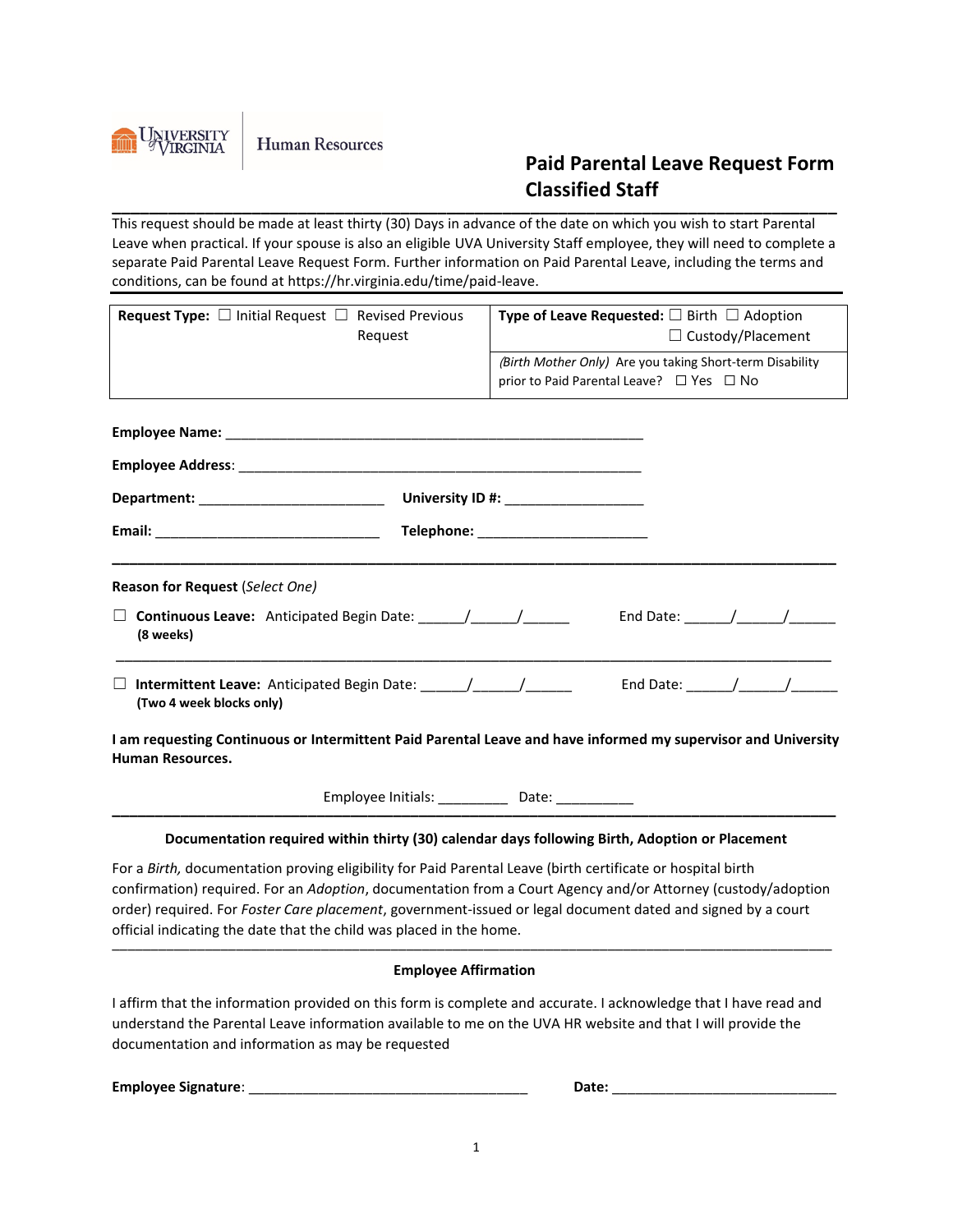

**Human Resources** 

## **Paid Parental Leave Request Form Classified Staff**

**\_\_\_\_\_\_\_\_\_\_\_\_\_\_\_\_\_\_\_\_\_\_\_\_\_\_\_\_\_\_\_\_\_\_\_\_\_\_\_\_\_\_\_\_\_\_\_\_\_\_\_\_\_\_\_\_\_\_\_\_\_\_\_\_\_\_\_\_\_\_\_\_\_\_\_\_\_\_** This request should be made at least thirty (30) Days in advance of the date on which you wish to start Parental Leave when practical. If your spouse is also an eligible UVA University Staff employee, they will need to complete a separate Paid Parental Leave Request Form. Further information on Paid Parental Leave, including the terms and conditions, can be found at https://hr.virginia.edu/time/paid-leave.

| Request                                                                                                                                  | $\Box$ Custody/Placement<br>(Birth Mother Only) Are you taking Short-term Disability<br>prior to Paid Parental Leave? $\Box$ Yes $\Box$ No                                                                                                                                                                                                                                                                              |  |  |
|------------------------------------------------------------------------------------------------------------------------------------------|-------------------------------------------------------------------------------------------------------------------------------------------------------------------------------------------------------------------------------------------------------------------------------------------------------------------------------------------------------------------------------------------------------------------------|--|--|
|                                                                                                                                          |                                                                                                                                                                                                                                                                                                                                                                                                                         |  |  |
|                                                                                                                                          |                                                                                                                                                                                                                                                                                                                                                                                                                         |  |  |
|                                                                                                                                          |                                                                                                                                                                                                                                                                                                                                                                                                                         |  |  |
|                                                                                                                                          |                                                                                                                                                                                                                                                                                                                                                                                                                         |  |  |
|                                                                                                                                          |                                                                                                                                                                                                                                                                                                                                                                                                                         |  |  |
| University ID #: _____________________                                                                                                   |                                                                                                                                                                                                                                                                                                                                                                                                                         |  |  |
|                                                                                                                                          | Telephone: _________________________                                                                                                                                                                                                                                                                                                                                                                                    |  |  |
| Reason for Request (Select One)                                                                                                          |                                                                                                                                                                                                                                                                                                                                                                                                                         |  |  |
| (8 weeks)                                                                                                                                | End Date: $\frac{1}{\sqrt{2\pi}}$                                                                                                                                                                                                                                                                                                                                                                                       |  |  |
| (Two 4 week blocks only)                                                                                                                 | End Date: $\frac{1}{\sqrt{1-\frac{1}{2}}}\frac{1}{\sqrt{1-\frac{1}{2}}}\frac{1}{\sqrt{1-\frac{1}{2}}}\frac{1}{\sqrt{1-\frac{1}{2}}}\frac{1}{\sqrt{1-\frac{1}{2}}}\frac{1}{\sqrt{1-\frac{1}{2}}}\frac{1}{\sqrt{1-\frac{1}{2}}}\frac{1}{\sqrt{1-\frac{1}{2}}}\frac{1}{\sqrt{1-\frac{1}{2}}}\frac{1}{\sqrt{1-\frac{1}{2}}}\frac{1}{\sqrt{1-\frac{1}{2}}}\frac{1}{\sqrt{1-\frac{1}{2}}}\frac{1}{\sqrt{1-\frac{1}{2}}}\frac$ |  |  |
| I am requesting Continuous or Intermittent Paid Parental Leave and have informed my supervisor and University<br><b>Human Resources.</b> |                                                                                                                                                                                                                                                                                                                                                                                                                         |  |  |
| Employee Initials: ____________ Date: ___________                                                                                        |                                                                                                                                                                                                                                                                                                                                                                                                                         |  |  |

## **Documentation required within thirty (30) calendar days following Birth, Adoption or Placement**

For a *Birth,* documentation proving eligibility for Paid Parental Leave (birth certificate or hospital birth confirmation) required. For an *Adoption*, documentation from a Court Agency and/or Attorney (custody/adoption order) required. For *Foster Care placement*, government-issued or legal document dated and signed by a court official indicating the date that the child was placed in the home. \_\_\_\_\_\_\_\_\_\_\_\_\_\_\_\_\_\_\_\_\_\_\_\_\_\_\_\_\_\_\_\_\_\_\_\_\_\_\_\_\_\_\_\_\_\_\_\_\_\_\_\_\_\_\_\_\_\_\_\_\_\_\_\_\_\_\_\_\_\_\_\_\_\_\_\_\_\_\_\_\_\_\_\_\_\_\_\_\_\_\_\_\_

## **Employee Affirmation**

I affirm that the information provided on this form is complete and accurate. I acknowledge that I have read and understand the Parental Leave information available to me on the UVA HR website and that I will provide the documentation and information as may be requested

**Employee Signature**: \_\_\_\_\_\_\_\_\_\_\_\_\_\_\_\_\_\_\_\_\_\_\_\_\_\_\_\_\_\_\_\_\_\_\_\_ **Date:** \_\_\_\_\_\_\_\_\_\_\_\_\_\_\_\_\_\_\_\_\_\_\_\_\_\_\_\_\_